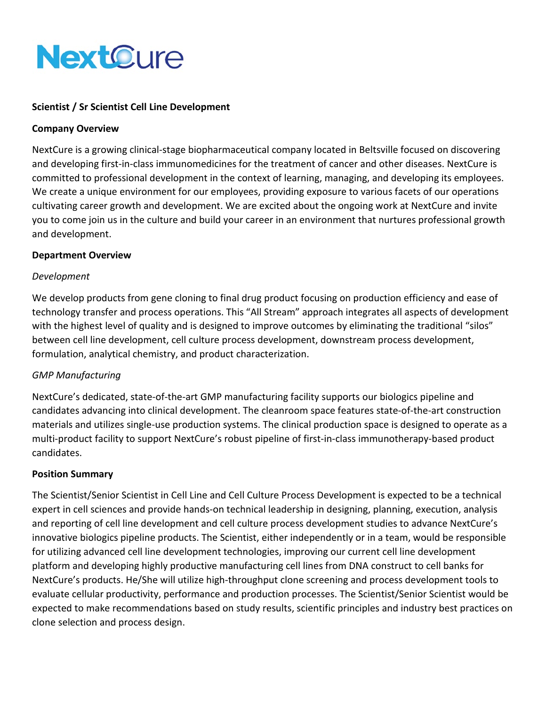# **NextOure**

### **Scientist / Sr Scientist Cell Line Development**

#### **Company Overview**

NextCure is a growing clinical-stage biopharmaceutical company located in Beltsville focused on discovering and developing first-in-class immunomedicines for the treatment of cancer and other diseases. NextCure is committed to professional development in the context of learning, managing, and developing its employees. We create a unique environment for our employees, providing exposure to various facets of our operations cultivating career growth and development. We are excited about the ongoing work at NextCure and invite you to come join us in the culture and build your career in an environment that nurtures professional growth and development.

#### **Department Overview**

### *Development*

We develop products from gene cloning to final drug product focusing on production efficiency and ease of technology transfer and process operations. This "All Stream" approach integrates all aspects of development with the highest level of quality and is designed to improve outcomes by eliminating the traditional "silos" between cell line development, cell culture process development, downstream process development, formulation, analytical chemistry, and product characterization.

# *GMP Manufacturing*

NextCure's dedicated, state-of-the-art GMP manufacturing facility supports our biologics pipeline and candidates advancing into clinical development. The cleanroom space features state-of-the-art construction materials and utilizes single-use production systems. The clinical production space is designed to operate as a multi-product facility to support NextCure's robust pipeline of first-in-class immunotherapy-based product candidates.

#### **Position Summary**

The Scientist/Senior Scientist in Cell Line and Cell Culture Process Development is expected to be a technical expert in cell sciences and provide hands-on technical leadership in designing, planning, execution, analysis and reporting of cell line development and cell culture process development studies to advance NextCure's innovative biologics pipeline products. The Scientist, either independently or in a team, would be responsible for utilizing advanced cell line development technologies, improving our current cell line development platform and developing highly productive manufacturing cell lines from DNA construct to cell banks for NextCure's products. He/She will utilize high-throughput clone screening and process development tools to evaluate cellular productivity, performance and production processes. The Scientist/Senior Scientist would be expected to make recommendations based on study results, scientific principles and industry best practices on clone selection and process design.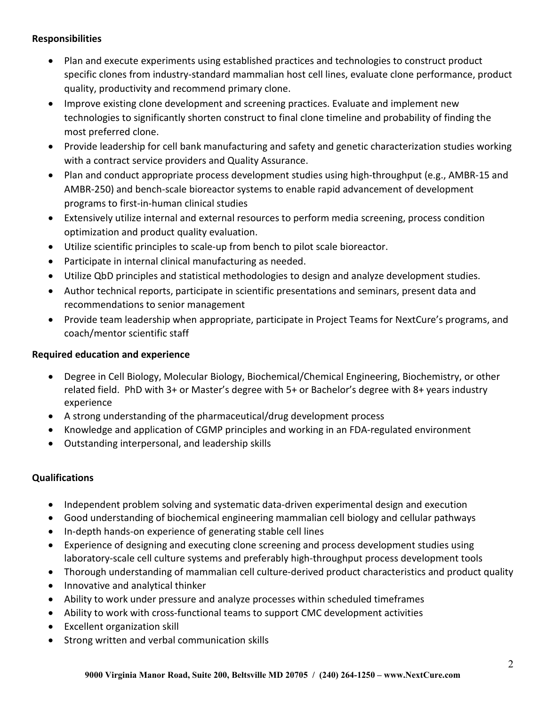# **Responsibilities**

- Plan and execute experiments using established practices and technologies to construct product specific clones from industry-standard mammalian host cell lines, evaluate clone performance, product quality, productivity and recommend primary clone.
- Improve existing clone development and screening practices. Evaluate and implement new technologies to significantly shorten construct to final clone timeline and probability of finding the most preferred clone.
- Provide leadership for cell bank manufacturing and safety and genetic characterization studies working with a contract service providers and Quality Assurance.
- Plan and conduct appropriate process development studies using high-throughput (e.g., AMBR-15 and AMBR-250) and bench-scale bioreactor systems to enable rapid advancement of development programs to first-in-human clinical studies
- Extensively utilize internal and external resources to perform media screening, process condition optimization and product quality evaluation.
- Utilize scientific principles to scale-up from bench to pilot scale bioreactor.
- Participate in internal clinical manufacturing as needed.
- Utilize QbD principles and statistical methodologies to design and analyze development studies.
- Author technical reports, participate in scientific presentations and seminars, present data and recommendations to senior management
- Provide team leadership when appropriate, participate in Project Teams for NextCure's programs, and coach/mentor scientific staff

## **Required education and experience**

- Degree in Cell Biology, Molecular Biology, Biochemical/Chemical Engineering, Biochemistry, or other related field. PhD with 3+ or Master's degree with 5+ or Bachelor's degree with 8+ years industry experience
- A strong understanding of the pharmaceutical/drug development process
- Knowledge and application of CGMP principles and working in an FDA-regulated environment
- Outstanding interpersonal, and leadership skills

# **Qualifications**

- Independent problem solving and systematic data-driven experimental design and execution
- Good understanding of biochemical engineering mammalian cell biology and cellular pathways
- In-depth hands-on experience of generating stable cell lines
- Experience of designing and executing clone screening and process development studies using laboratory-scale cell culture systems and preferably high-throughput process development tools
- Thorough understanding of mammalian cell culture-derived product characteristics and product quality
- Innovative and analytical thinker
- Ability to work under pressure and analyze processes within scheduled timeframes
- Ability to work with cross-functional teams to support CMC development activities
- Excellent organization skill
- Strong written and verbal communication skills